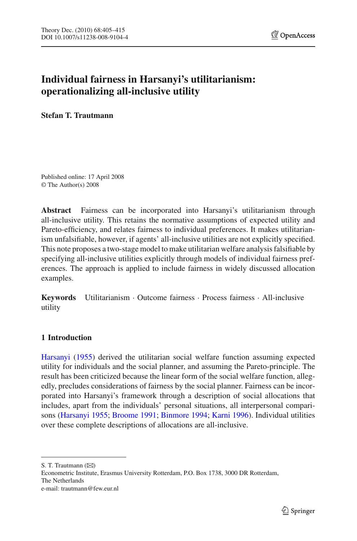# **Individual fairness in Harsanyi's utilitarianism: operationalizing all-inclusive utility**

**Stefan T. Trautmann**

Published online: 17 April 2008 © The Author(s) 2008

**Abstract** Fairness can be incorporated into Harsanyi's utilitarianism through all-inclusive utility. This retains the normative assumptions of expected utility and Pareto-efficiency, and relates fairness to individual preferences. It makes utilitarianism unfalsifiable, however, if agents' all-inclusive utilities are not explicitly specified. This note proposes a two-stage model to make utilitarian welfare analysis falsifiable by specifying all-inclusive utilities explicitly through models of individual fairness preferences. The approach is applied to include fairness in widely discussed allocation examples.

**Keywords** Utilitarianism · Outcome fairness · Process fairness · All-inclusive utility

# **1 Introduction**

Harsanyi [\(1955\)](#page-9-0) derived the utilitarian social welfare function assuming expected utility for individuals and the social planner, and assuming the Pareto-principle. The result has been criticized because the linear form of the social welfare function, allegedly, precludes considerations of fairness by the social planner. Fairness can be incorporated into Harsanyi's framework through a description of social allocations that includes, apart from the individuals' personal situations, all interpersonal comparisons [\(Harsanyi 1955;](#page-9-0) [Broome 1991;](#page-9-1) [Binmore 1994;](#page-9-2) [Karni 1996](#page-9-3)). Individual utilities over these complete descriptions of allocations are all-inclusive.

S. T. Trautmann ( $\bowtie$ )

Econometric Institute, Erasmus University Rotterdam, P.O. Box 1738, 3000 DR Rotterdam, The Netherlands e-mail: trautmann@few.eur.nl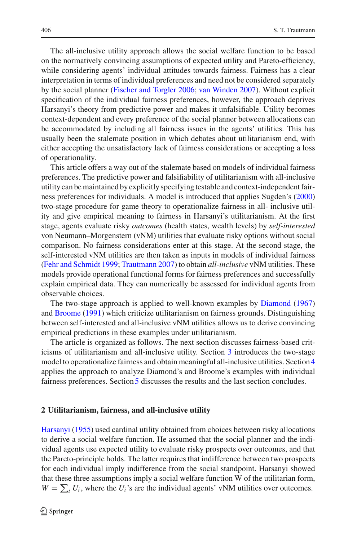The all-inclusive utility approach allows the social welfare function to be based on the normatively convincing assumptions of expected utility and Pareto-efficiency, while considering agents' individual attitudes towards fairness. Fairness has a clear interpretation in terms of individual preferences and need not be considered separately by the social planner [\(Fischer and Torgler 2006;](#page-9-4) [van Winden 2007](#page-10-0)). Without explicit specification of the individual fairness preferences, however, the approach deprives Harsanyi's theory from predictive power and makes it unfalsifiable. Utility becomes context-dependent and every preference of the social planner between allocations can be accommodated by including all fairness issues in the agents' utilities. This has usually been the stalemate position in which debates about utilitarianism end, with either accepting the unsatisfactory lack of fairness considerations or accepting a loss of operationality.

This article offers a way out of the stalemate based on models of individual fairness preferences. The predictive power and falsifiability of utilitarianism with all-inclusive utility can be maintained by explicitly specifying testable and context-independent fairness preferences for individuals. A model is introduced that applies Sugden's [\(2000\)](#page-10-1) two-stage procedure for game theory to operationalize fairness in all- inclusive utility and give empirical meaning to fairness in Harsanyi's utilitarianism. At the first stage, agents evaluate risky *outcomes* (health states, wealth levels) by *self-interested* von Neumann–Morgenstern (vNM) utilities that evaluate risky options without social comparison. No fairness considerations enter at this stage. At the second stage, the self-interested vNM utilities are then taken as inputs in models of individual fairness [\(Fehr and Schmidt 1999](#page-9-5); [Trautmann 2007\)](#page-10-2) to obtain *all-inclusive* vNM utilities. These models provide operational functional forms for fairness preferences and successfully explain empirical data. They can numerically be assessed for individual agents from observable choices.

The two-stage approach is applied to well-known examples by [Diamond](#page-9-6) [\(1967\)](#page-9-6) and [Broome](#page-9-1) [\(1991](#page-9-1)) which criticize utilitarianism on fairness grounds. Distinguishing between self-interested and all-inclusive vNM utilities allows us to derive convincing empirical predictions in these examples under utilitarianism.

The article is organized as follows. The next section discusses fairness-based criticisms of utilitarianism and all-inclusive utility. Section [3](#page-4-0) introduces the two-stage model to operationalize fairness and obtain meaningful all-inclusive utilities. Section [4](#page-6-0) applies the approach to analyze Diamond's and Broome's examples with individual fairness preferences. Section [5](#page-8-0) discusses the results and the last section concludes.

## **2 Utilitarianism, fairness, and all-inclusive utility**

Harsanyi [\(1955\)](#page-9-0) used cardinal utility obtained from choices between risky allocations to derive a social welfare function. He assumed that the social planner and the individual agents use expected utility to evaluate risky prospects over outcomes, and that the Pareto-principle holds. The latter requires that indifference between two prospects for each individual imply indifference from the social standpoint. Harsanyi showed that these three assumptions imply a social welfare function W of the utilitarian form,  $W = \sum_i U_i$ , where the *U<sub>i</sub>*'s are the individual agents' vNM utilities over outcomes.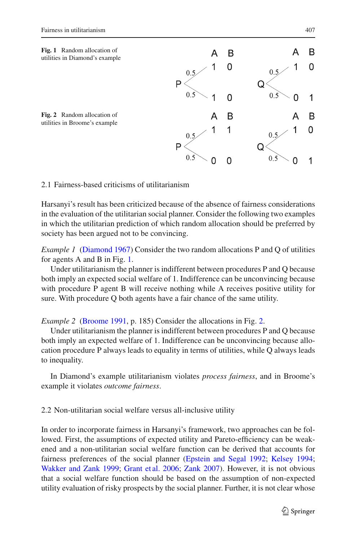<span id="page-2-0"></span>

# <span id="page-2-1"></span>2.1 Fairness-based criticisms of utilitarianism

Harsanyi's result has been criticized because of the absence of fairness considerations in the evaluation of the utilitarian social planner. Consider the following two examples in which the utilitarian prediction of which random allocation should be preferred by society has been argued not to be convincing.

*Example 1* [\(Diamond 1967\)](#page-9-6) Consider the two random allocations P and Q of utilities for agents A and B in Fig. [1.](#page-2-0)

Under utilitarianism the planner is indifferent between procedures P and Q because both imply an expected social welfare of 1. Indifference can be unconvincing because with procedure P agent B will receive nothing while A receives positive utility for sure. With procedure Q both agents have a fair chance of the same utility.

<span id="page-2-2"></span>*Example 2* [\(Broome 1991,](#page-9-1) p. 185) Consider the allocations in Fig. [2.](#page-2-1)

Under utilitarianism the planner is indifferent between procedures P and Q because both imply an expected welfare of 1. Indifference can be unconvincing because allocation procedure P always leads to equality in terms of utilities, while Q always leads to inequality.

In Diamond's example utilitarianism violates *process fairness*, and in Broome's example it violates *outcome fairness*.

# 2.2 Non-utilitarian social welfare versus all-inclusive utility

In order to incorporate fairness in Harsanyi's framework, two approaches can be followed. First, the assumptions of expected utility and Pareto-efficiency can be weakened and a non-utilitarian social welfare function can be derived that accounts for fairness preferences of the social planner [\(Epstein and Segal 1992](#page-9-7); [Kelsey 1994](#page-9-8); [Wakker and Zank 1999;](#page-10-3) [Grant et al. 2006;](#page-9-9) [Zank 2007\)](#page-10-4). However, it is not obvious that a social welfare function should be based on the assumption of non-expected utility evaluation of risky prospects by the social planner. Further, it is not clear whose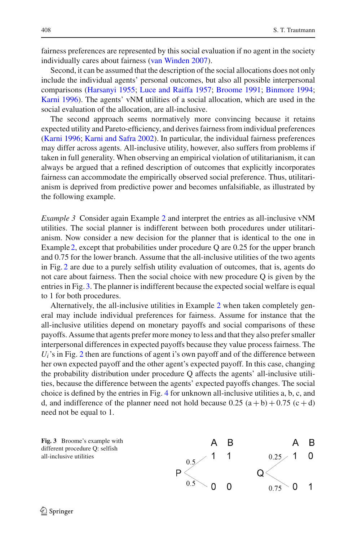fairness preferences are represented by this social evaluation if no agent in the society individually cares about fairness [\(van Winden 2007\)](#page-10-0).

Second, it can be assumed that the description of the social allocations does not only include the individual agents' personal outcomes, but also all possible interpersonal comparisons [\(Harsanyi 1955](#page-9-0); [Luce and Raiffa 1957](#page-10-5); [Broome 1991](#page-9-1); [Binmore 1994](#page-9-2); [Karni 1996](#page-9-3)). The agents' vNM utilities of a social allocation, which are used in the social evaluation of the allocation, are all-inclusive.

The second approach seems normatively more convincing because it retains expected utility and Pareto-efficiency, and derives fairness from individual preferences [\(Karni 1996](#page-9-3); [Karni and Safra 2002\)](#page-9-10). In particular, the individual fairness preferences may differ across agents. All-inclusive utility, however, also suffers from problems if taken in full generality. When observing an empirical violation of utilitarianism, it can always be argued that a refined description of outcomes that explicitly incorporates fairness can accommodate the empirically observed social preference. Thus, utilitarianism is deprived from predictive power and becomes unfalsifiable, as illustrated by the following example.

<span id="page-3-1"></span>*Example 3* Consider again Example [2](#page-2-2) and interpret the entries as all-inclusive vNM utilities. The social planner is indifferent between both procedures under utilitarianism. Now consider a new decision for the planner that is identical to the one in Example [2,](#page-2-2) except that probabilities under procedure  $Q$  are 0.25 for the upper branch and 0.75 for the lower branch. Assume that the all-inclusive utilities of the two agents in Fig. [2](#page-2-1) are due to a purely selfish utility evaluation of outcomes, that is, agents do not care about fairness. Then the social choice with new procedure Q is given by the entries in Fig. [3.](#page-3-0) The planner is indifferent because the expected social welfare is equal to 1 for both procedures.

Alternatively, the all-inclusive utilities in Example [2](#page-2-2) when taken completely general may include individual preferences for fairness. Assume for instance that the all-inclusive utilities depend on monetary payoffs and social comparisons of these payoffs. Assume that agents prefer more money to less and that they also prefer smaller interpersonal differences in expected payoffs because they value process fairness. The  $U_i$ 's in Fig. [2](#page-2-1) then are functions of agent i's own payoff and of the difference between her own expected payoff and the other agent's expected payoff. In this case, changing the probability distribution under procedure Q affects the agents' all-inclusive utilities, because the difference between the agents' expected payoffs changes. The social choice is defined by the entries in Fig. [4](#page-4-1) for unknown all-inclusive utilities a, b, c, and d, and indifference of the planner need not hold because  $0.25$  (a + b) + 0.75 (c + d) need not be equal to 1.

<span id="page-3-0"></span>**Fig. 3** Broome's example with different procedure Q: selfish all-inclusive utilities

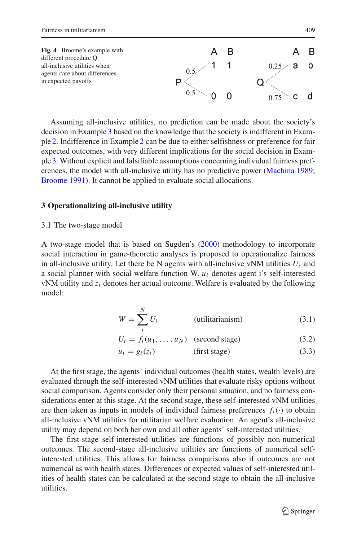<span id="page-4-1"></span>

Assuming all-inclusive utilities, no prediction can be made about the society's decision in Example [3](#page-3-1) based on the knowledge that the society is indifferent in Example [2.](#page-2-2) Indifference in Example [2](#page-2-2) can be due to either selfishness or preference for fair expected outcomes, with very different implications for the social decision in Example [3.](#page-3-1) Without explicit and falsifiable assumptions concerning individual fairness preferences, the model with all-inclusive utility has no predictive power [\(Machina 1989](#page-10-6); [Broome 1991](#page-9-1)). It cannot be applied to evaluate social allocations.

## <span id="page-4-0"></span>**3 Operationalizing all-inclusive utility**

## 3.1 The two-stage model

A two-stage model that is based on Sugden's [\(2000](#page-10-1)) methodology to incorporate social interaction in game-theoretic analyses is proposed to operationalize fairness in all-inclusive utility. Let there be N agents with all-inclusive vNM utilities  $U_i$  and a social planner with social welfare function W. *ui* denotes agent i's self-interested vNM utility and *zi* denotes her actual outcome. Welfare is evaluated by the following model:

$$
W = \sum_{i}^{N} U_i
$$
 (utilitarianism) (3.1)

$$
U_i = f_i(u_1, \dots, u_N) \quad \text{(second stage)} \tag{3.2}
$$

$$
u_i = g_i(z_i) \tag{3.3}
$$

At the first stage, the agents' individual outcomes (health states, wealth levels) are evaluated through the self-interested vNM utilities that evaluate risky options without social comparison. Agents consider only their personal situation, and no fairness considerations enter at this stage. At the second stage, these self-interested vNM utilities are then taken as inputs in models of individual fairness preferences  $f_i(\cdot)$  to obtain all-inclusive vNM utilities for utilitarian welfare evaluation. An agent's all-inclusive utility may depend on both her own and all other agents' self-interested utilities.

The first-stage self-interested utilities are functions of possibly non-numerical outcomes. The second-stage all-inclusive utilities are functions of numerical selfinterested utilities. This allows for fairness comparisons also if outcomes are not numerical as with health states. Differences or expected values of self-interested utilities of health states can be calculated at the second stage to obtain the all-inclusive utilities.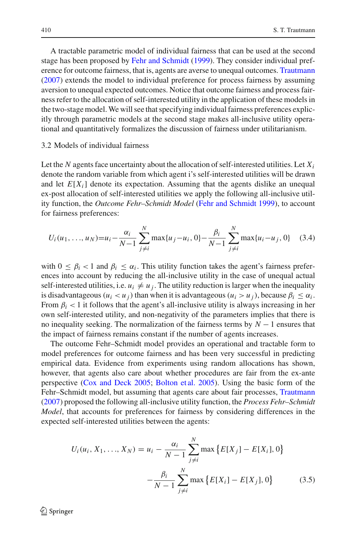A tractable parametric model of individual fairness that can be used at the second stage has been proposed by [Fehr and Schmidt](#page-9-5) [\(1999\)](#page-9-5). They consider individual preference for outcome fairness, that is, agents are averse to unequal outcomes. [Trautmann](#page-10-2) [\(2007\)](#page-10-2) extends the model to individual preference for process fairness by assuming aversion to unequal expected outcomes. Notice that outcome fairness and process fairness refer to the allocation of self-interested utility in the application of these models in the two-stage model.We will see that specifying individual fairness preferences explicitly through parametric models at the second stage makes all-inclusive utility operational and quantitatively formalizes the discussion of fairness under utilitarianism.

#### 3.2 Models of individual fairness

Let the *N* agents face uncertainty about the allocation of self-interested utilities. Let  $X_i$ denote the random variable from which agent i's self-interested utilities will be drawn and let  $E[X_i]$  denote its expectation. Assuming that the agents dislike an unequal ex-post allocation of self-interested utilities we apply the following all-inclusive utility function, the *Outcome Fehr–Schmidt Model* [\(Fehr and Schmidt 1999](#page-9-5)), to account for fairness preferences:

$$
U_i(u_1, \ldots, u_N) = u_i - \frac{\alpha_i}{N-1} \sum_{j \neq i}^N \max\{u_j - u_i, 0\} - \frac{\beta_i}{N-1} \sum_{j \neq i}^N \max\{u_i - u_j, 0\} \quad (3.4)
$$

with  $0 \leq \beta_i < 1$  and  $\beta_i \leq \alpha_i$ . This utility function takes the agent's fairness preferences into account by reducing the all-inclusive utility in the case of unequal actual self-interested utilities, i.e.  $u_i \neq u_j$ . The utility reduction is larger when the inequality is disadvantageous ( $u_i < u_j$ ) than when it is advantageous ( $u_i > u_j$ ), because  $\beta_i \leq \alpha_i$ . From  $\beta_i$  < 1 it follows that the agent's all-inclusive utility is always increasing in her own self-interested utility, and non-negativity of the parameters implies that there is no inequality seeking. The normalization of the fairness terms by *N* − 1 ensures that the impact of fairness remains constant if the number of agents increases.

The outcome Fehr–Schmidt model provides an operational and tractable form to model preferences for outcome fairness and has been very successful in predicting empirical data. Evidence from experiments using random allocations has shown, however, that agents also care about whether procedures are fair from the ex-ante perspective [\(Cox and Deck 2005](#page-9-11); [Bolton et al. 2005](#page-9-12)). Using the basic form of the Fehr–Schmidt model, but assuming that agents care about fair processes, [Trautmann](#page-10-2) [\(2007\)](#page-10-2) proposed the following all-inclusive utility function, the *Process Fehr–Schmidt Model*, that accounts for preferences for fairness by considering differences in the expected self-interested utilities between the agents:

$$
U_i(u_i, X_1, ..., X_N) = u_i - \frac{\alpha_i}{N-1} \sum_{j \neq i}^{N} \max \{ E[X_j] - E[X_i], 0 \}
$$

$$
- \frac{\beta_i}{N-1} \sum_{j \neq i}^{N} \max \{ E[X_i] - E[X_j], 0 \}
$$
(3.5)

 $\circled{2}$  Springer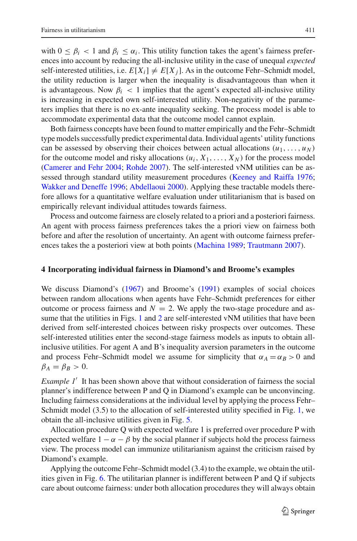with  $0 \leq \beta_i < 1$  and  $\beta_i \leq \alpha_i$ . This utility function takes the agent's fairness preferences into account by reducing the all-inclusive utility in the case of unequal *expected* self-interested utilities, i.e.  $E[X_i] \neq E[X_i]$ . As in the outcome Fehr–Schmidt model, the utility reduction is larger when the inequality is disadvantageous than when it is advantageous. Now  $\beta_i$  < 1 implies that the agent's expected all-inclusive utility is increasing in expected own self-interested utility. Non-negativity of the parameters implies that there is no ex-ante inequality seeking. The process model is able to accommodate experimental data that the outcome model cannot explain.

Both fairness concepts have been found to matter empirically and the Fehr–Schmidt type models successfully predict experimental data. Individual agents' utility functions can be assessed by observing their choices between actual allocations  $(u_1, \ldots, u_N)$ for the outcome model and risky allocations  $(u_i, X_1, \ldots, X_N)$  for the process model [\(Camerer and Fehr 2004;](#page-9-13) [Rohde 2007](#page-10-7)). The self-interested vNM utilities can be assessed through standard utility measurement procedures [\(Keeney and Raiffa 1976](#page-9-14); [Wakker and Deneffe 1996;](#page-10-8) [Abdellaoui 2000](#page-9-15)). Applying these tractable models therefore allows for a quantitative welfare evaluation under utilitarianism that is based on empirically relevant individual attitudes towards fairness.

Process and outcome fairness are closely related to a priori and a posteriori fairness. An agent with process fairness preferences takes the a priori view on fairness both before and after the resolution of uncertainty. An agent with outcome fairness preferences takes the a posteriori view at both points [\(Machina 1989](#page-10-6); [Trautmann 2007](#page-10-2)).

## <span id="page-6-0"></span>**4 Incorporating individual fairness in Diamond's and Broome's examples**

We discuss Diamond's [\(1967\)](#page-9-6) and Broome's [\(1991](#page-9-1)) examples of social choices between random allocations when agents have Fehr–Schmidt preferences for either outcome or process fairness and  $N = 2$ . We apply the two-stage procedure and assume that the utilities in Figs. [1](#page-2-0) and [2](#page-2-1) are self-interested vNM utilities that have been derived from self-interested choices between risky prospects over outcomes. These self-interested utilities enter the second-stage fairness models as inputs to obtain allinclusive utilities. For agent A and B's inequality aversion parameters in the outcome and process Fehr–Schmidt model we assume for simplicity that  $\alpha_A = \alpha_B > 0$  and  $\beta_A = \beta_B > 0$ .

*Example 1'* It has been shown above that without consideration of fairness the social planner's indifference between P and Q in Diamond's example can be unconvincing. Including fairness considerations at the individual level by applying the process Fehr– Schmidt model (3.5) to the allocation of self-interested utility specified in Fig. [1,](#page-2-0) we obtain the all-inclusive utilities given in Fig. [5.](#page-7-0)

Allocation procedure Q with expected welfare 1 is preferred over procedure P with expected welfare  $1 - \alpha - \beta$  by the social planner if subjects hold the process fairness view. The process model can immunize utilitarianism against the criticism raised by Diamond's example.

Applying the outcome Fehr–Schmidt model (3.4) to the example, we obtain the utilities given in Fig. [6.](#page-7-1) The utilitarian planner is indifferent between P and Q if subjects care about outcome fairness: under both allocation procedures they will always obtain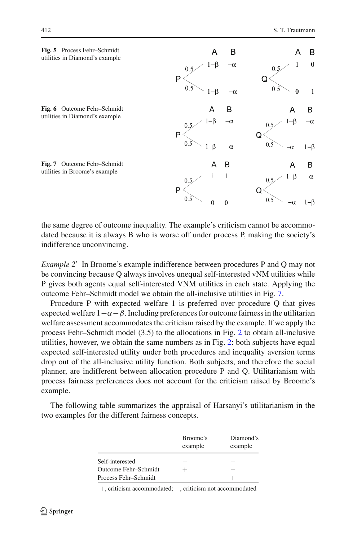<span id="page-7-1"></span><span id="page-7-0"></span>

<span id="page-7-2"></span>the same degree of outcome inequality. The example's criticism cannot be accommodated because it is always B who is worse off under process P, making the society's indifference unconvincing.

*Example 2'* In Broome's example indifference between procedures P and Q may not be convincing because Q always involves unequal self-interested vNM utilities while P gives both agents equal self-interested VNM utilities in each state. Applying the outcome Fehr–Schmidt model we obtain the all-inclusive utilities in Fig. [7.](#page-7-2)

Procedure P with expected welfare 1 is preferred over procedure Q that gives expected welfare  $1-\alpha-\beta$ . Including preferences for outcome fairness in the utilitarian welfare assessment accommodates the criticism raised by the example. If we apply the process Fehr–Schmidt model (3.5) to the allocations in Fig. [2](#page-2-1) to obtain all-inclusive utilities, however, we obtain the same numbers as in Fig. [2:](#page-2-1) both subjects have equal expected self-interested utility under both procedures and inequality aversion terms drop out of the all-inclusive utility function. Both subjects, and therefore the social planner, are indifferent between allocation procedure P and Q. Utilitarianism with process fairness preferences does not account for the criticism raised by Broome's example.

|                      | Broome's<br>example | Diamond's<br>example |
|----------------------|---------------------|----------------------|
| Self-interested      |                     |                      |
| Outcome Fehr-Schmidt |                     |                      |
| Process Fehr-Schmidt |                     |                      |

The following table summarizes the appraisal of Harsanyi's utilitarianism in the two examples for the different fairness concepts.

+, criticism accommodated; −, criticism not accommodated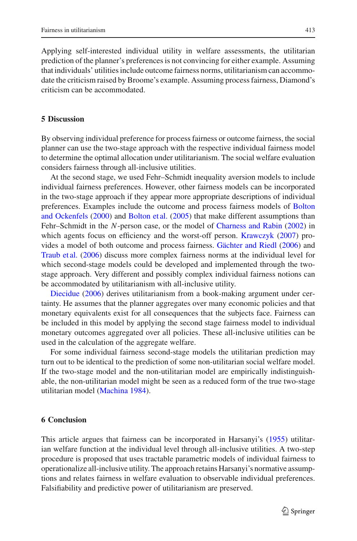Applying self-interested individual utility in welfare assessments, the utilitarian prediction of the planner's preferences is not convincing for either example. Assuming that individuals' utilities include outcome fairness norms, utilitarianism can accommodate the criticism raised by Broome's example. Assuming process fairness, Diamond's criticism can be accommodated.

# <span id="page-8-0"></span>**5 Discussion**

By observing individual preference for process fairness or outcome fairness, the social planner can use the two-stage approach with the respective individual fairness model to determine the optimal allocation under utilitarianism. The social welfare evaluation considers fairness through all-inclusive utilities.

At the second stage, we used Fehr–Schmidt inequality aversion models to include individual fairness preferences. However, other fairness models can be incorporated in the two-stage approach if they appear more appropriate descriptions of individual preferences. [Examples](#page-9-16) [include](#page-9-16) [the](#page-9-16) [outcome](#page-9-16) [and](#page-9-16) [process](#page-9-16) [fairness](#page-9-16) [models](#page-9-16) [of](#page-9-16) Bolton and Ockenfels [\(2000\)](#page-9-16) and [Bolton et al.](#page-9-12) [\(2005\)](#page-9-12) that make different assumptions than Fehr–Schmidt in the *N*-person case, or the model of [Charness and Rabin](#page-9-17) [\(2002\)](#page-9-17) in which agents focus on efficiency and the worst-off person. [Krawczyk](#page-10-9) [\(2007](#page-10-9)) provides a model of both outcome and process fairness. [Gächter and Riedl](#page-9-18) [\(2006](#page-9-18)) and [Traub et al.](#page-10-10) [\(2006](#page-10-10)) discuss more complex fairness norms at the individual level for which second-stage models could be developed and implemented through the twostage approach. Very different and possibly complex individual fairness notions can [be](#page-9-19) [accommo](#page-9-19)dated by utilitarianism with all-inclusive utility.

Diecidue [\(2006\)](#page-9-19) derives utilitarianism from a book-making argument under certainty. He assumes that the planner aggregates over many economic policies and that monetary equivalents exist for all consequences that the subjects face. Fairness can be included in this model by applying the second stage fairness model to individual monetary outcomes aggregated over all policies. These all-inclusive utilities can be used in the calculation of the aggregate welfare.

For some individual fairness second-stage models the utilitarian prediction may turn out to be identical to the prediction of some non-utilitarian social welfare model. If the two-stage model and the non-utilitarian model are empirically indistinguishable, the non-utilitarian model might be seen as a reduced form of the true two-stage utilitarian model [\(Machina 1984\)](#page-10-11).

## **6 Conclusion**

This article argues that fairness can be incorporated in Harsanyi's [\(1955\)](#page-9-0) utilitarian welfare function at the individual level through all-inclusive utilities. A two-step procedure is proposed that uses tractable parametric models of individual fairness to operationalize all-inclusive utility. The approach retains Harsanyi's normative assumptions and relates fairness in welfare evaluation to observable individual preferences. Falsifiability and predictive power of utilitarianism are preserved.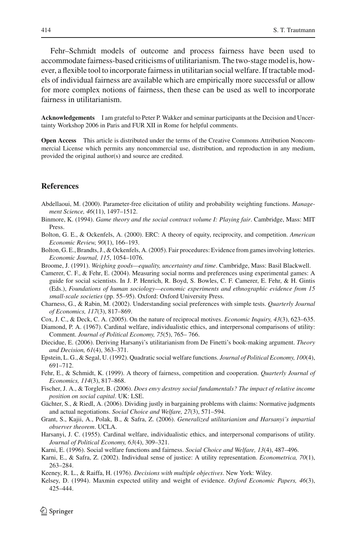Fehr–Schmidt models of outcome and process fairness have been used to accommodate fairness-based criticisms of utilitarianism. The two-stage model is, however, a flexible tool to incorporate fairness in utilitarian social welfare. If tractable models of individual fairness are available which are empirically more successful or allow for more complex notions of fairness, then these can be used as well to incorporate fairness in utilitarianism.

**Acknowledgements** I am grateful to Peter P. Wakker and seminar participants at the Decision and Uncertainty Workshop 2006 in Paris and FUR XII in Rome for helpful comments.

**Open Access** This article is distributed under the terms of the Creative Commons Attribution Noncommercial License which permits any noncommercial use, distribution, and reproduction in any medium, provided the original author(s) and source are credited.

## **References**

- <span id="page-9-15"></span>Abdellaoui, M. (2000). Parameter-free elicitation of utility and probability weighting functions. *Management Science, 46*(11), 1497–1512.
- <span id="page-9-2"></span>Binmore, K. (1994). *Game theory and the social contract volume I: Playing fair*. Cambridge, Mass: MIT Press.
- <span id="page-9-16"></span>Bolton, G. E., & Ockenfels, A. (2000). ERC: A theory of equity, reciprocity, and competition. *American Economic Review, 90*(1), 166–193.
- <span id="page-9-12"></span>Bolton, G. E., Brandts, J., & Ockenfels, A. (2005). Fair procedures: Evidence from games involving lotteries. *Economic Journal, 115*, 1054–1076.
- <span id="page-9-1"></span>Broome, J. (1991). *Weighing goods—equality, uncertainty and time*. Cambridge, Mass: Basil Blackwell.

<span id="page-9-13"></span>Camerer, C. F., & Fehr, E. (2004). Measuring social norms and preferences using experimental games: A guide for social scientists. In J. P. Henrich, R. Boyd, S. Bowles, C. F. Camerer, E. Fehr, & H. Gintis (Eds.), *Foundations of human sociology—economic experiments and ethnographic evidence from 15 small-scale societies* (pp. 55–95). Oxford: Oxford University Press.

- <span id="page-9-17"></span>Charness, G., & Rabin, M. (2002). Understanding social preferences with simple tests. *Quarterly Journal of Economics, 117*(3), 817–869.
- <span id="page-9-11"></span>Cox, J. C., & Deck, C. A. (2005). On the nature of reciprocal motives. *Economic Inquiry, 43*(3), 623–635.
- <span id="page-9-6"></span>Diamond, P. A. (1967). Cardinal welfare, individualistic ethics, and interpersonal comparisons of utility: Comment. *Journal of Political Economy, 75*(5), 765– 766.
- <span id="page-9-19"></span>Diecidue, E. (2006). Deriving Harsanyi's utilitarianism from De Finetti's book-making argument. *Theory and Decision, 61*(4), 363–371.
- <span id="page-9-7"></span>Epstein, L. G., & Segal, U. (1992). Quadratic social welfare functions. *Journal of Political Economy, 100*(4), 691–712.
- <span id="page-9-5"></span>Fehr, E., & Schmidt, K. (1999). A theory of fairness, competition and cooperation. *Quarterly Journal of Economics, 114*(3), 817–868.
- <span id="page-9-4"></span>Fischer, J. A., & Torgler, B. (2006). *Does envy destroy social fundamentals? The impact of relative income position on social capital*. UK: LSE.
- <span id="page-9-18"></span>Gächter, S., & Riedl, A. (2006). Dividing justly in bargaining problems with claims: Normative judgments and actual negotiations. *Social Choice and Welfare, 27*(3), 571–594.
- <span id="page-9-9"></span>Grant, S., Kajii, A., Polak, B., & Safra, Z. (2006). *Generalized utilitarianism and Harsanyi's impartial observer theorem*. UCLA.
- <span id="page-9-0"></span>Harsanyi, J. C. (1955). Cardinal welfare, individualistic ethics, and interpersonal comparisons of utility. *Journal of Political Economy, 63*(4), 309–321.
- Karni, E. (1996). Social welfare functions and fairness. *Social Choice and Welfare, 13*(4), 487–496.
- <span id="page-9-10"></span><span id="page-9-3"></span>Karni, E., & Safra, Z. (2002). Individual sense of justice: A utility representation. *Econometrica, 70*(1), 263–284.
- <span id="page-9-14"></span>Keeney, R. L., & Raiffa, H. (1976). *Decisions with multiple objectives*. New York: Wiley.
- <span id="page-9-8"></span>Kelsey, D. (1994). Maxmin expected utility and weight of evidence. *Oxford Economic Papers, 46*(3), 425–444.